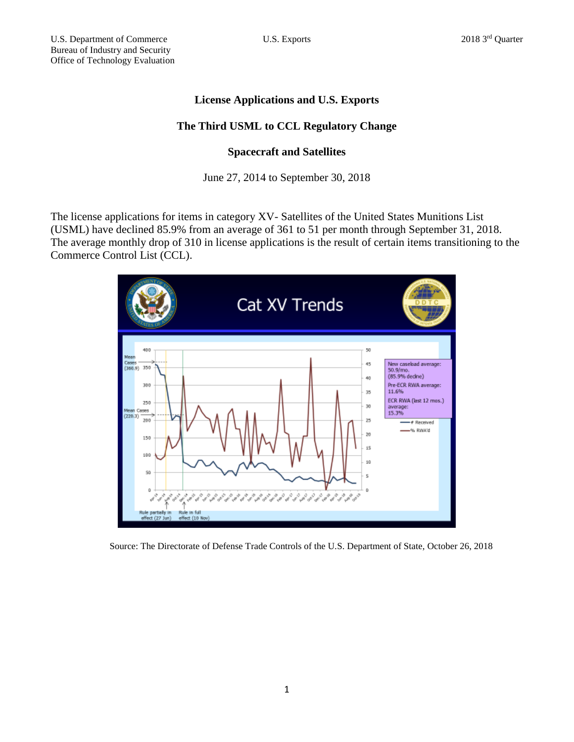# **License Applications and U.S. Exports**

## **The Third USML to CCL Regulatory Change**

### **Spacecraft and Satellites**

June 27, 2014 to September 30, 2018

The license applications for items in category XV- Satellites of the United States Munitions List (USML) have declined 85.9% from an average of 361 to 51 per month through September 31, 2018. The average monthly drop of 310 in license applications is the result of certain items transitioning to the Commerce Control List (CCL).



Source: The Directorate of Defense Trade Controls of the U.S. Department of State, October 26, 2018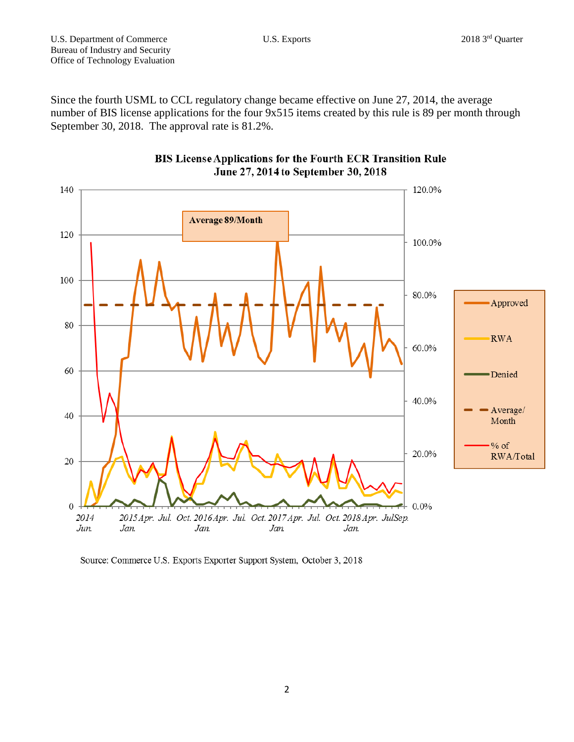Since the fourth USML to CCL regulatory change became effective on June 27, 2014, the average number of BIS license applications for the four 9x515 items created by this rule is 89 per month through September 30, 2018. The approval rate is 81.2%.





Source: Commerce U.S. Exports Exporter Support System, October 3, 2018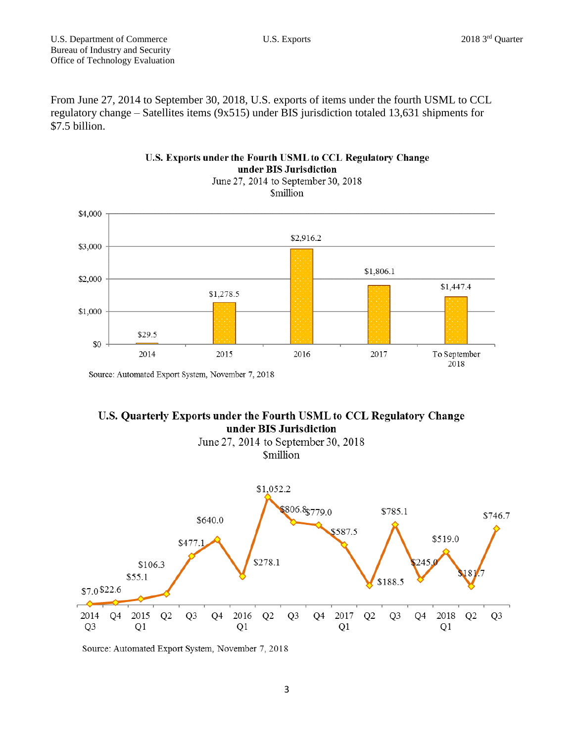From June 27, 2014 to September 30, 2018, U.S. exports of items under the fourth USML to CCL regulatory change – Satellites items (9x515) under BIS jurisdiction totaled 13,631 shipments for \$7.5 billion.



### U.S. Exports under the Fourth USML to CCL Regulatory Change under BIS Jurisdiction

Source: Automated Export System, November 7, 2018

### U.S. Quarterly Exports under the Fourth USML to CCL Regulatory Change under BIS Jurisdiction





Source: Automated Export System, November 7, 2018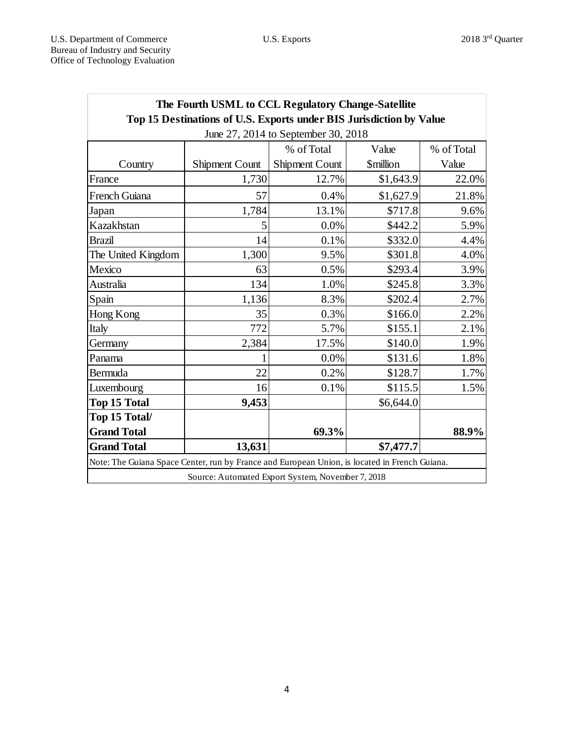| The Fourth USML to CCL Regulatory Change-Satellite<br>Top 15 Destinations of U.S. Exports under BIS Jurisdiction by Value |                       |                       |                               |            |
|---------------------------------------------------------------------------------------------------------------------------|-----------------------|-----------------------|-------------------------------|------------|
| June 27, 2014 to September 30, 2018                                                                                       |                       |                       |                               |            |
|                                                                                                                           |                       | % of Total            | Value                         | % of Total |
| Country                                                                                                                   | <b>Shipment Count</b> | <b>Shipment Count</b> | <b><i><u>Smillion</u></i></b> | Value      |
| France                                                                                                                    | 1,730                 | 12.7%                 | \$1,643.9                     | 22.0%      |
| French Guiana                                                                                                             | 57                    | 0.4%                  | \$1,627.9                     | 21.8%      |
| Japan                                                                                                                     | 1,784                 | 13.1%                 | \$717.8                       | 9.6%       |
| Kazakhstan                                                                                                                | 5                     | 0.0%                  | \$442.2                       | 5.9%       |
| <b>Brazil</b>                                                                                                             | 14                    | 0.1%                  | \$332.0                       | 4.4%       |
| The United Kingdom                                                                                                        | 1,300                 | 9.5%                  | \$301.8                       | 4.0%       |
| Mexico                                                                                                                    | 63                    | 0.5%                  | \$293.4                       | 3.9%       |
| Australia                                                                                                                 | 134                   | 1.0%                  | \$245.8                       | 3.3%       |
| Spain                                                                                                                     | 1,136                 | 8.3%                  | \$202.4                       | 2.7%       |
| Hong Kong                                                                                                                 | 35                    | 0.3%                  | \$166.0                       | 2.2%       |
| Italy                                                                                                                     | 772                   | 5.7%                  | \$155.1                       | 2.1%       |
| Germany                                                                                                                   | 2,384                 | 17.5%                 | \$140.0                       | 1.9%       |
| Panama                                                                                                                    |                       | 0.0%                  | \$131.6                       | 1.8%       |
| Bermuda                                                                                                                   | 22                    | 0.2%                  | \$128.7                       | 1.7%       |
| Luxembourg                                                                                                                | 16                    | 0.1%                  | \$115.5                       | 1.5%       |
| <b>Top 15 Total</b>                                                                                                       | 9,453                 |                       | \$6,644.0                     |            |
| Top 15 Total/                                                                                                             |                       |                       |                               |            |
| <b>Grand Total</b>                                                                                                        |                       | 69.3%                 |                               | 88.9%      |
| <b>Grand Total</b>                                                                                                        | 13,631                |                       | \$7,477.7                     |            |
| Note: The Guiana Space Center, run by France and European Union, is located in French Guiana.                             |                       |                       |                               |            |
| Source: Automated Export System, November 7, 2018                                                                         |                       |                       |                               |            |